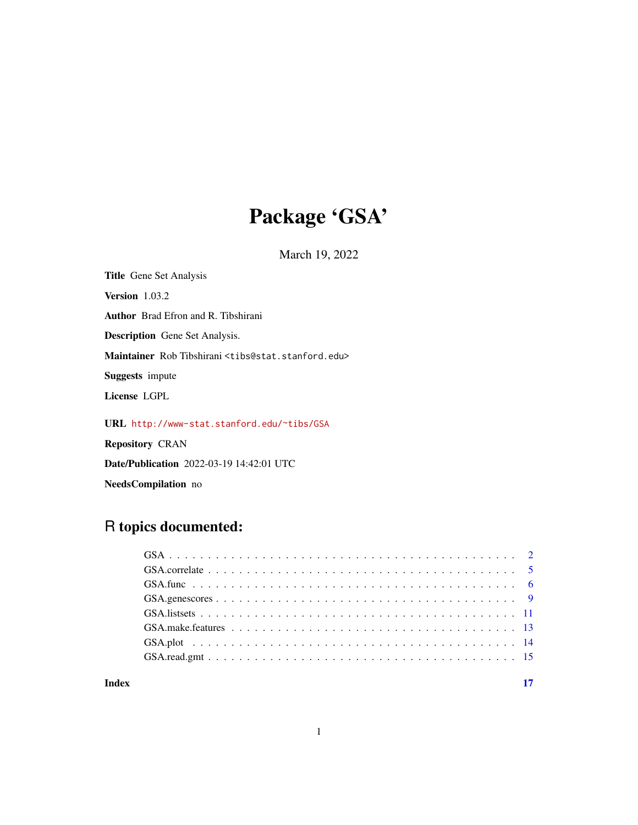# Package 'GSA'

March 19, 2022

Title Gene Set Analysis Version 1.03.2 Author Brad Efron and R. Tibshirani Description Gene Set Analysis. Maintainer Rob Tibshirani <tibs@stat.stanford.edu> Suggests impute License LGPL

URL <http://www-stat.stanford.edu/~tibs/GSA>

Repository CRAN

Date/Publication 2022-03-19 14:42:01 UTC

NeedsCompilation no

# R topics documented:

#### **Index** [17](#page-16-0)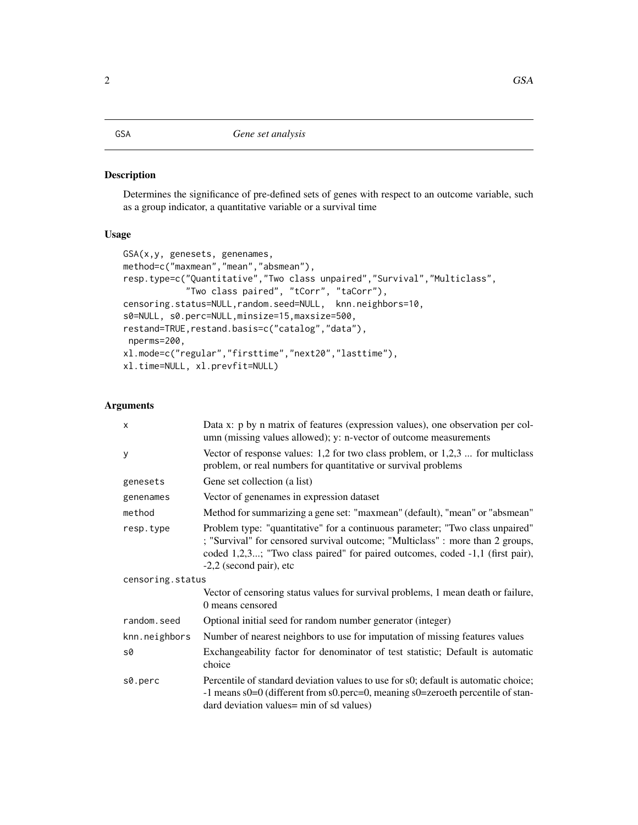#### <span id="page-1-0"></span>Description

Determines the significance of pre-defined sets of genes with respect to an outcome variable, such as a group indicator, a quantitative variable or a survival time

# Usage

```
GSA(x,y, genesets, genenames,
method=c("maxmean","mean","absmean"),
resp.type=c("Quantitative","Two class unpaired","Survival","Multiclass",
            "Two class paired", "tCorr", "taCorr"),
censoring.status=NULL,random.seed=NULL, knn.neighbors=10,
s0=NULL, s0.perc=NULL,minsize=15,maxsize=500,
restand=TRUE, restand.basis=c("catalog", "data"),
nperms=200,
xl.mode=c("regular","firsttime","next20","lasttime"),
xl.time=NULL, xl.prevfit=NULL)
```
# Arguments

| $\mathsf{x}$     | Data x: p by n matrix of features (expression values), one observation per col-<br>umn (missing values allowed); y: n-vector of outcome measurements                                                                                                                          |  |  |  |  |
|------------------|-------------------------------------------------------------------------------------------------------------------------------------------------------------------------------------------------------------------------------------------------------------------------------|--|--|--|--|
| У                | Vector of response values: 1,2 for two class problem, or $1,2,3$ for multiclass<br>problem, or real numbers for quantitative or survival problems                                                                                                                             |  |  |  |  |
| genesets         | Gene set collection (a list)                                                                                                                                                                                                                                                  |  |  |  |  |
| genenames        | Vector of genenames in expression dataset                                                                                                                                                                                                                                     |  |  |  |  |
| method           | Method for summarizing a gene set: "maxmean" (default), "mean" or "absmean"                                                                                                                                                                                                   |  |  |  |  |
| resp.type        | Problem type: "quantitative" for a continuous parameter; "Two class unpaired"<br>; "Survival" for censored survival outcome; "Multiclass" : more than 2 groups,<br>coded 1,2,3; "Two class paired" for paired outcomes, coded -1,1 (first pair),<br>$-2,2$ (second pair), etc |  |  |  |  |
| censoring.status |                                                                                                                                                                                                                                                                               |  |  |  |  |
|                  | Vector of censoring status values for survival problems, 1 mean death or failure,<br>0 means censored                                                                                                                                                                         |  |  |  |  |
| random.seed      | Optional initial seed for random number generator (integer)                                                                                                                                                                                                                   |  |  |  |  |
| knn.neighbors    | Number of nearest neighbors to use for imputation of missing features values                                                                                                                                                                                                  |  |  |  |  |
| s0               | Exchangeability factor for denominator of test statistic; Default is automatic<br>choice                                                                                                                                                                                      |  |  |  |  |
| s0.perc          | Percentile of standard deviation values to use for s0; default is automatic choice;<br>-1 means s0=0 (different from s0.perc=0, meaning s0=zeroeth percentile of stan-<br>dard deviation values = min of sd values)                                                           |  |  |  |  |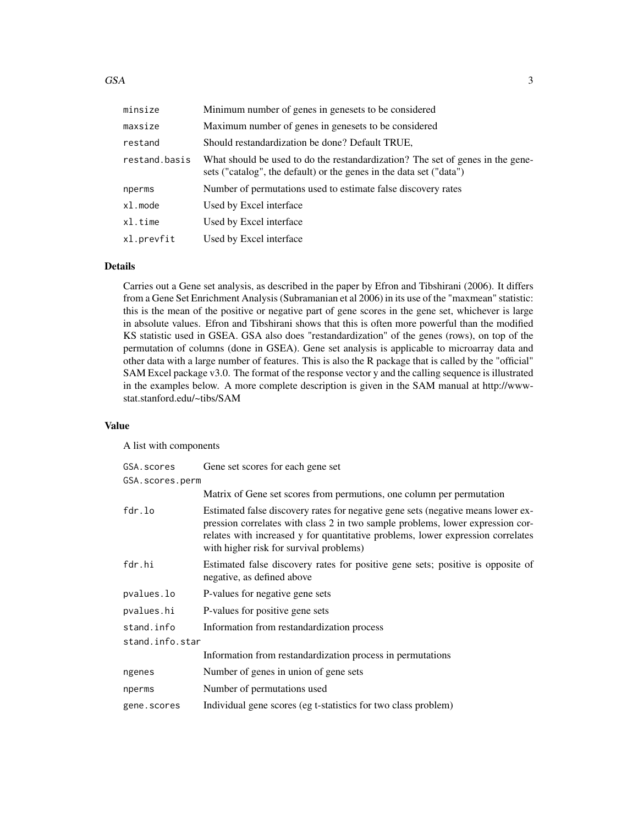| minsize       | Minimum number of genes in genesets to be considered                                                                                                  |
|---------------|-------------------------------------------------------------------------------------------------------------------------------------------------------|
| maxsize       | Maximum number of genes in genesets to be considered                                                                                                  |
| restand       | Should restandardization be done? Default TRUE,                                                                                                       |
| restand.basis | What should be used to do the restandardization? The set of genes in the gene-<br>sets ("catalog", the default) or the genes in the data set ("data") |
| nperms        | Number of permutations used to estimate false discovery rates                                                                                         |
| xl.mode       | Used by Excel interface                                                                                                                               |
| xl.time       | Used by Excel interface                                                                                                                               |
| xl.prevfit    | Used by Excel interface                                                                                                                               |

#### Details

Carries out a Gene set analysis, as described in the paper by Efron and Tibshirani (2006). It differs from a Gene Set Enrichment Analysis (Subramanian et al 2006) in its use of the "maxmean" statistic: this is the mean of the positive or negative part of gene scores in the gene set, whichever is large in absolute values. Efron and Tibshirani shows that this is often more powerful than the modified KS statistic used in GSEA. GSA also does "restandardization" of the genes (rows), on top of the permutation of columns (done in GSEA). Gene set analysis is applicable to microarray data and other data with a large number of features. This is also the R package that is called by the "official" SAM Excel package v3.0. The format of the response vector y and the calling sequence is illustrated in the examples below. A more complete description is given in the SAM manual at http://wwwstat.stanford.edu/~tibs/SAM

# Value

A list with components

| GSA.scores      | Gene set scores for each gene set                                                                                                                                                                                                                                                                |
|-----------------|--------------------------------------------------------------------------------------------------------------------------------------------------------------------------------------------------------------------------------------------------------------------------------------------------|
| GSA.scores.perm |                                                                                                                                                                                                                                                                                                  |
|                 | Matrix of Gene set scores from permutions, one column per permutation                                                                                                                                                                                                                            |
| fdr.lo          | Estimated false discovery rates for negative gene sets (negative means lower ex-<br>pression correlates with class 2 in two sample problems, lower expression cor-<br>relates with increased y for quantitative problems, lower expression correlates<br>with higher risk for survival problems) |
| fdr.hi          | Estimated false discovery rates for positive gene sets; positive is opposite of<br>negative, as defined above                                                                                                                                                                                    |
| pvalues.lo      | P-values for negative gene sets                                                                                                                                                                                                                                                                  |
| pvalues.hi      | P-values for positive gene sets                                                                                                                                                                                                                                                                  |
| stand.info      | Information from restandardization process                                                                                                                                                                                                                                                       |
| stand.info.star |                                                                                                                                                                                                                                                                                                  |
|                 | Information from restandardization process in permutations                                                                                                                                                                                                                                       |
| ngenes          | Number of genes in union of gene sets                                                                                                                                                                                                                                                            |
| nperms          | Number of permutations used                                                                                                                                                                                                                                                                      |
| gene.scores     | Individual gene scores (eg t-statistics for two class problem)                                                                                                                                                                                                                                   |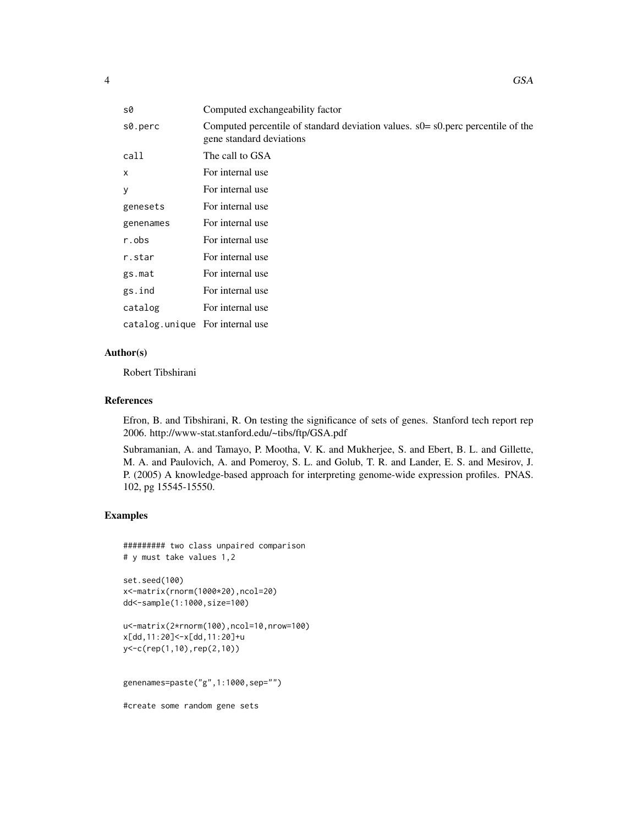| s0                              | Computed exchangeability factor                                                                                |
|---------------------------------|----------------------------------------------------------------------------------------------------------------|
| s0.perc                         | Computed percentile of standard deviation values. $s0 = s0$ perc percentile of the<br>gene standard deviations |
| call                            | The call to GSA                                                                                                |
| $\mathsf{x}$                    | For internal use                                                                                               |
| y                               | For internal use                                                                                               |
| genesets                        | For internal use                                                                                               |
| genenames                       | For internal use                                                                                               |
| r.obs                           | For internal use                                                                                               |
| r.star                          | For internal use                                                                                               |
| gs.mat                          | For internal use                                                                                               |
| gs.ind                          | For internal use                                                                                               |
| catalog                         | For internal use                                                                                               |
| catalog.unique For internal use |                                                                                                                |

#### Author(s)

Robert Tibshirani

# References

Efron, B. and Tibshirani, R. On testing the significance of sets of genes. Stanford tech report rep 2006. http://www-stat.stanford.edu/~tibs/ftp/GSA.pdf

Subramanian, A. and Tamayo, P. Mootha, V. K. and Mukherjee, S. and Ebert, B. L. and Gillette, M. A. and Paulovich, A. and Pomeroy, S. L. and Golub, T. R. and Lander, E. S. and Mesirov, J. P. (2005) A knowledge-based approach for interpreting genome-wide expression profiles. PNAS. 102, pg 15545-15550.

# Examples

```
######### two class unpaired comparison
# y must take values 1,2
```
set.seed(100) x<-matrix(rnorm(1000\*20),ncol=20) dd<-sample(1:1000,size=100)

u<-matrix(2\*rnorm(100),ncol=10,nrow=100) x[dd,11:20]<-x[dd,11:20]+u y<-c(rep(1,10),rep(2,10))

genenames=paste("g",1:1000,sep="")

#create some random gene sets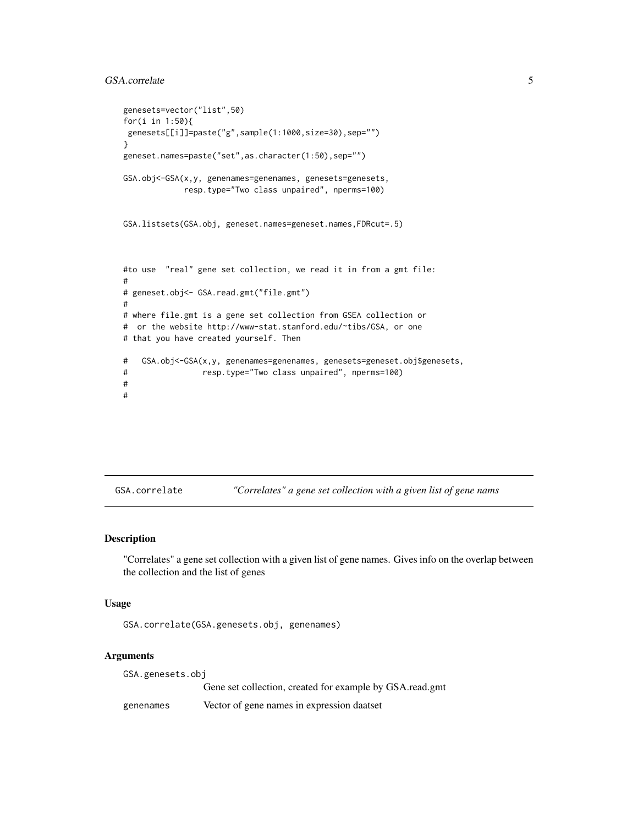# <span id="page-4-0"></span>GSA.correlate 5

```
genesets=vector("list",50)
for(i in 1:50){
genesets[[i]]=paste("g",sample(1:1000,size=30),sep="")
}
geneset.names=paste("set",as.character(1:50),sep="")
GSA.obj<-GSA(x,y, genenames=genenames, genesets=genesets,
            resp.type="Two class unpaired", nperms=100)
GSA.listsets(GSA.obj, geneset.names=geneset.names,FDRcut=.5)
#to use "real" gene set collection, we read it in from a gmt file:
#
# geneset.obj<- GSA.read.gmt("file.gmt")
#
# where file.gmt is a gene set collection from GSEA collection or
# or the website http://www-stat.stanford.edu/~tibs/GSA, or one
# that you have created yourself. Then
# GSA.obj<-GSA(x,y, genenames=genenames, genesets=geneset.obj$genesets,
# resp.type="Two class unpaired", nperms=100)
#
#
```
GSA.correlate *"Correlates" a gene set collection with a given list of gene nams*

# **Description**

"Correlates" a gene set collection with a given list of gene names. Gives info on the overlap between the collection and the list of genes

#### Usage

GSA.correlate(GSA.genesets.obj, genenames)

# Arguments

GSA.genesets.obj Gene set collection, created for example by GSA.read.gmt genenames Vector of gene names in expression daatset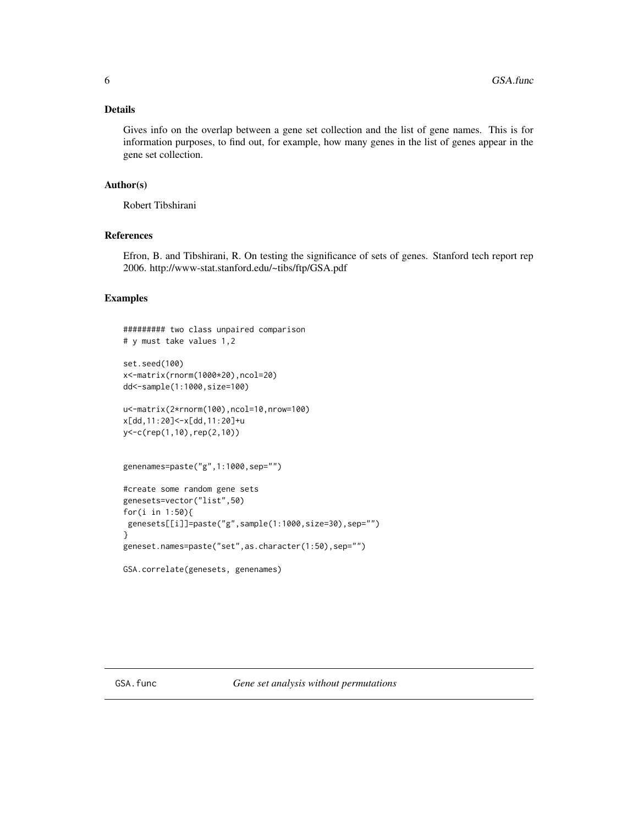# <span id="page-5-0"></span>Details

Gives info on the overlap between a gene set collection and the list of gene names. This is for information purposes, to find out, for example, how many genes in the list of genes appear in the gene set collection.

# Author(s)

Robert Tibshirani

# References

Efron, B. and Tibshirani, R. On testing the significance of sets of genes. Stanford tech report rep 2006. http://www-stat.stanford.edu/~tibs/ftp/GSA.pdf

# Examples

```
######### two class unpaired comparison
# y must take values 1,2
set.seed(100)
x<-matrix(rnorm(1000*20),ncol=20)
dd<-sample(1:1000,size=100)
u<-matrix(2*rnorm(100),ncol=10,nrow=100)
x[dd,11:20]<-x[dd,11:20]+u
y<-c(rep(1,10),rep(2,10))
genenames=paste("g",1:1000,sep="")
#create some random gene sets
genesets=vector("list",50)
for(i in 1:50){
 genesets[[i]]=paste("g",sample(1:1000,size=30),sep="")
}
geneset.names=paste("set",as.character(1:50),sep="")
```

```
GSA.correlate(genesets, genenames)
```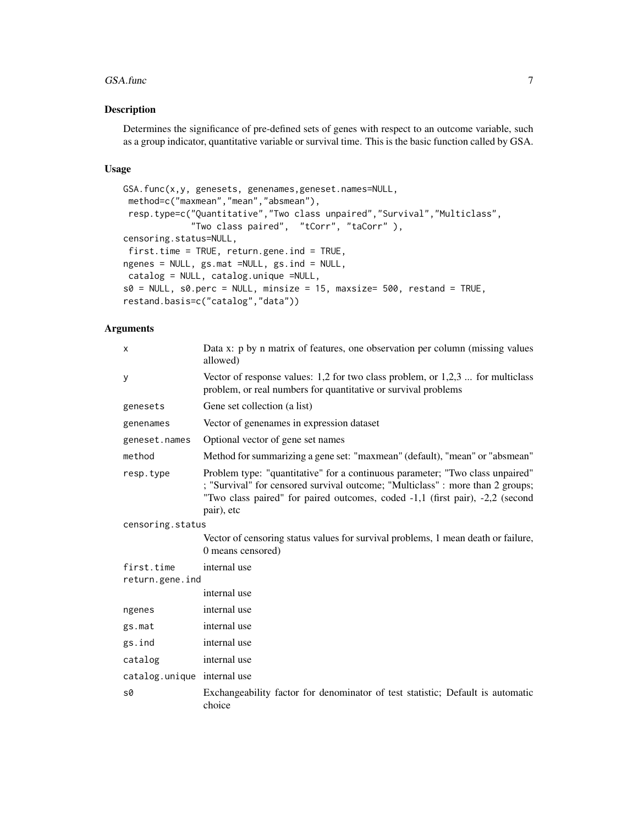#### GSA.func 7

# Description

Determines the significance of pre-defined sets of genes with respect to an outcome variable, such as a group indicator, quantitative variable or survival time. This is the basic function called by GSA.

#### Usage

```
GSA.func(x,y, genesets, genenames,geneset.names=NULL,
method=c("maxmean","mean","absmean"),
resp.type=c("Quantitative","Two class unpaired","Survival","Multiclass",
             "Two class paired", "tCorr", "taCorr" ),
censoring.status=NULL,
first.time = TRUE, return.gene.ind = TRUE,
ngenes = NULL, gs.mat =NULL, gs.ind = NULL,
catalog = NULL, catalog.unique =NULL,
s0 = NULL, s0. perc = NULL, minsize = 15, maxsize= 500, restand = TRUE,
restand.basis=c("catalog","data"))
```
# Arguments

| $\times$                    | Data x: p by n matrix of features, one observation per column (missing values<br>allowed)                                                                                                                                                                      |
|-----------------------------|----------------------------------------------------------------------------------------------------------------------------------------------------------------------------------------------------------------------------------------------------------------|
| У                           | Vector of response values: $1,2$ for two class problem, or $1,2,3$ for multiclass<br>problem, or real numbers for quantitative or survival problems                                                                                                            |
| genesets                    | Gene set collection (a list)                                                                                                                                                                                                                                   |
| genenames                   | Vector of genenames in expression dataset                                                                                                                                                                                                                      |
| geneset.names               | Optional vector of gene set names                                                                                                                                                                                                                              |
| method                      | Method for summarizing a gene set: "maxmean" (default), "mean" or "absmean"                                                                                                                                                                                    |
| resp.type                   | Problem type: "quantitative" for a continuous parameter; "Two class unpaired"<br>; "Survival" for censored survival outcome; "Multiclass" : more than 2 groups;<br>"Two class paired" for paired outcomes, coded -1,1 (first pair), -2,2 (second<br>pair), etc |
| censoring.status            |                                                                                                                                                                                                                                                                |
|                             | Vector of censoring status values for survival problems, 1 mean death or failure,<br>0 means censored)                                                                                                                                                         |
| first.time                  | internal use                                                                                                                                                                                                                                                   |
| return.gene.ind             |                                                                                                                                                                                                                                                                |
|                             | internal use                                                                                                                                                                                                                                                   |
| ngenes                      | internal use                                                                                                                                                                                                                                                   |
| gs.mat                      | internal use                                                                                                                                                                                                                                                   |
| gs.ind                      | internal use                                                                                                                                                                                                                                                   |
| catalog                     | internal use                                                                                                                                                                                                                                                   |
| catalog.unique internal use |                                                                                                                                                                                                                                                                |
| s0                          | Exchangeability factor for denominator of test statistic; Default is automatic<br>choice                                                                                                                                                                       |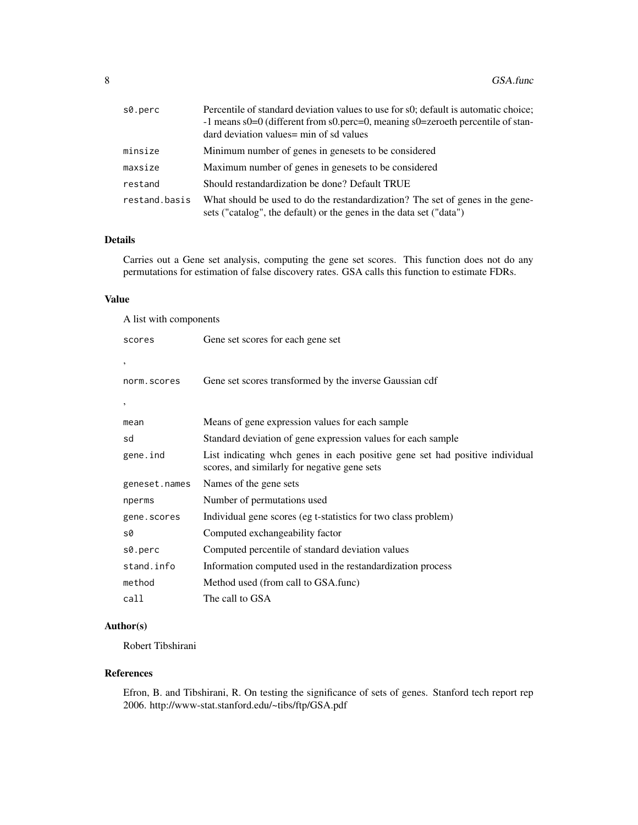| s0.perc       | Percentile of standard deviation values to use for s0; default is automatic choice;<br>-1 means s0=0 (different from s0.perc=0, meaning s0=zeroeth percentile of stan-<br>dard deviation values = min of sd values |
|---------------|--------------------------------------------------------------------------------------------------------------------------------------------------------------------------------------------------------------------|
| minsize       | Minimum number of genes in genesets to be considered                                                                                                                                                               |
| maxsize       | Maximum number of genes in genesets to be considered                                                                                                                                                               |
| restand       | Should restandardization be done? Default TRUE                                                                                                                                                                     |
| restand.basis | What should be used to do the restandardization? The set of genes in the gene-<br>sets ("catalog", the default) or the genes in the data set ("data")                                                              |

# Details

Carries out a Gene set analysis, computing the gene set scores. This function does not do any permutations for estimation of false discovery rates. GSA calls this function to estimate FDRs.

# Value

| A list with components |                                                                                                                              |
|------------------------|------------------------------------------------------------------------------------------------------------------------------|
| scores                 | Gene set scores for each gene set                                                                                            |
| ,                      |                                                                                                                              |
| norm.scores            | Gene set scores transformed by the inverse Gaussian cdf                                                                      |
| $\,$                   |                                                                                                                              |
| mean                   | Means of gene expression values for each sample                                                                              |
| sd                     | Standard deviation of gene expression values for each sample                                                                 |
| gene.ind               | List indicating whch genes in each positive gene set had positive individual<br>scores, and similarly for negative gene sets |
| geneset.names          | Names of the gene sets                                                                                                       |
| nperms                 | Number of permutations used                                                                                                  |
| gene.scores            | Individual gene scores (eg t-statistics for two class problem)                                                               |
| s0                     | Computed exchangeability factor                                                                                              |
| s0.perc                | Computed percentile of standard deviation values                                                                             |
| stand.info             | Information computed used in the restandardization process                                                                   |
| method                 | Method used (from call to GSA.func)                                                                                          |
| call                   | The call to GSA                                                                                                              |

# Author(s)

Robert Tibshirani

#### References

Efron, B. and Tibshirani, R. On testing the significance of sets of genes. Stanford tech report rep 2006. http://www-stat.stanford.edu/~tibs/ftp/GSA.pdf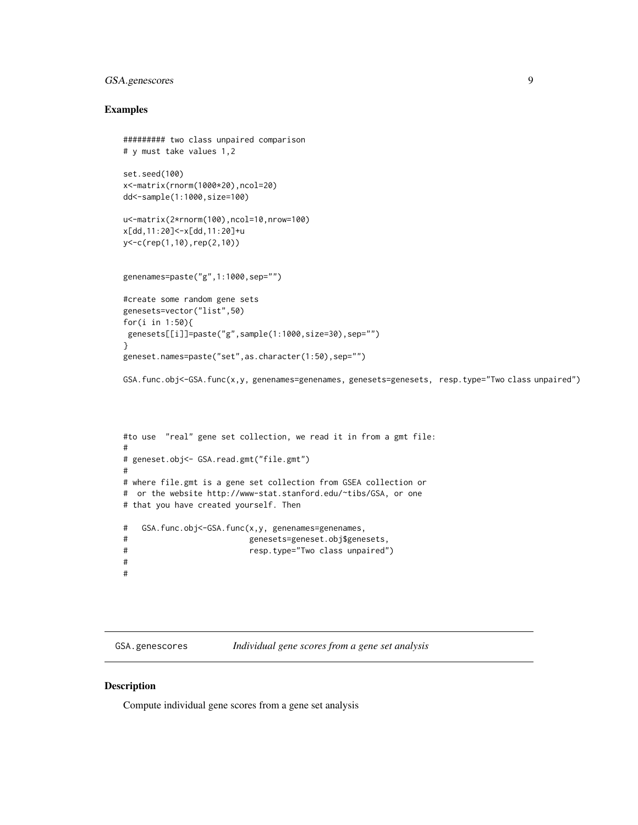# <span id="page-8-0"></span>GSA.genescores 9

### Examples

```
######### two class unpaired comparison
# y must take values 1,2
set.seed(100)
x<-matrix(rnorm(1000*20),ncol=20)
dd<-sample(1:1000,size=100)
u<-matrix(2*rnorm(100),ncol=10,nrow=100)
x[dd,11:20]<-x[dd,11:20]+u
y<-c(rep(1,10),rep(2,10))
genenames=paste("g",1:1000,sep="")
#create some random gene sets
genesets=vector("list",50)
for(i in 1:50){
 genesets[[i]]=paste("g",sample(1:1000,size=30),sep="")
}
geneset.names=paste("set",as.character(1:50),sep="")
GSA.func.obj<-GSA.func(x,y, genenames=genenames, genesets=genesets, resp.type="Two class unpaired")
```

```
#to use "real" gene set collection, we read it in from a gmt file:
#
# geneset.obj<- GSA.read.gmt("file.gmt")
#
# where file.gmt is a gene set collection from GSEA collection or
# or the website http://www-stat.stanford.edu/~tibs/GSA, or one
# that you have created yourself. Then
# GSA.func.obj<-GSA.func(x,y, genenames=genenames,
# genesets=geneset.obj$genesets,
# resp.type="Two class unpaired")
#
#
```
GSA.genescores *Individual gene scores from a gene set analysis*

# Description

Compute individual gene scores from a gene set analysis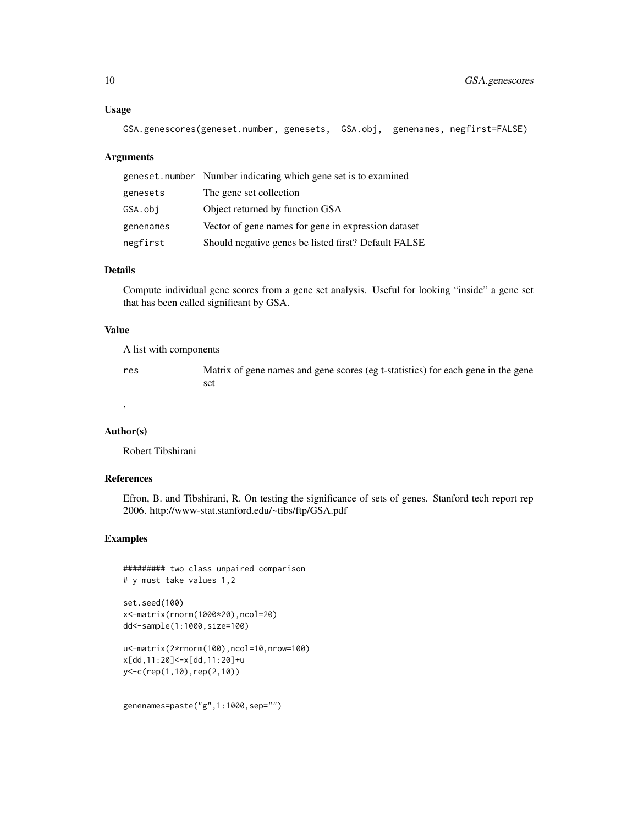#### Usage

```
GSA.genescores(geneset.number, genesets, GSA.obj, genenames, negfirst=FALSE)
```
#### Arguments

|           | geneset.number Number indicating which gene set is to examined |
|-----------|----------------------------------------------------------------|
| genesets  | The gene set collection                                        |
| GSA.obi   | Object returned by function GSA                                |
| genenames | Vector of gene names for gene in expression dataset            |
| negfirst  | Should negative genes be listed first? Default FALSE           |

# Details

Compute individual gene scores from a gene set analysis. Useful for looking "inside" a gene set that has been called significant by GSA.

#### Value

A list with components

res Matrix of gene names and gene scores (eg t-statistics) for each gene in the gene set

#### Author(s)

,

Robert Tibshirani

#### References

Efron, B. and Tibshirani, R. On testing the significance of sets of genes. Stanford tech report rep 2006. http://www-stat.stanford.edu/~tibs/ftp/GSA.pdf

# Examples

```
######### two class unpaired comparison
# y must take values 1,2
set.seed(100)
```

```
x<-matrix(rnorm(1000*20),ncol=20)
dd<-sample(1:1000,size=100)
```

```
u<-matrix(2*rnorm(100),ncol=10,nrow=100)
x[dd,11:20]<-x[dd,11:20]+u
y<-c(rep(1,10),rep(2,10))
```

```
genenames=paste("g",1:1000,sep="")
```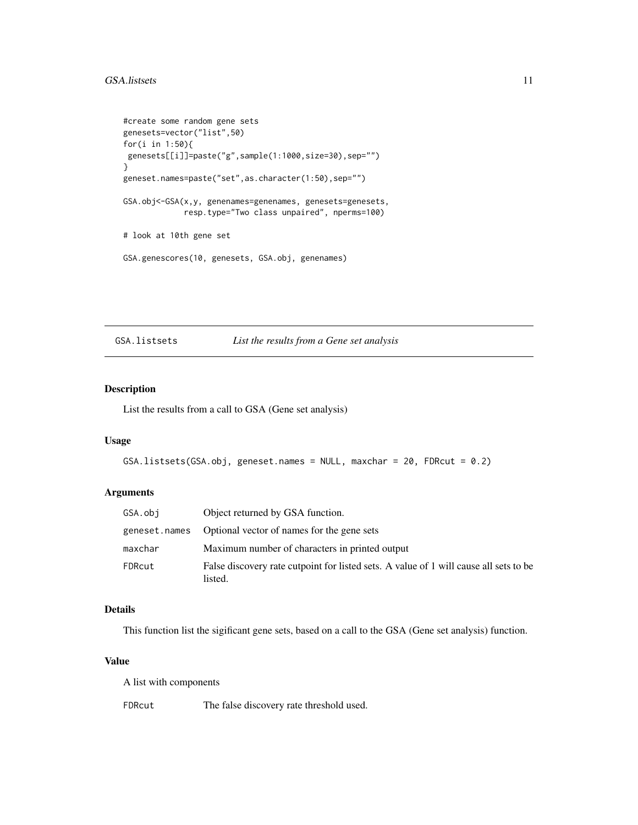# <span id="page-10-0"></span>GSA.listsets 11

```
#create some random gene sets
genesets=vector("list",50)
for(i in 1:50){
genesets[[i]]=paste("g",sample(1:1000,size=30),sep="")
}
geneset.names=paste("set",as.character(1:50),sep="")
GSA.obj<-GSA(x,y, genenames=genenames, genesets=genesets,
             resp.type="Two class unpaired", nperms=100)
# look at 10th gene set
GSA.genescores(10, genesets, GSA.obj, genenames)
```
#### GSA.listsets *List the results from a Gene set analysis*

# Description

List the results from a call to GSA (Gene set analysis)

# Usage

```
GSA.listsets(GSA.obj, geneset.names = NULL, maxchar = 20, FDRcut = 0.2)
```
# Arguments

| GSA.obi | Object returned by GSA function.                                                                 |
|---------|--------------------------------------------------------------------------------------------------|
|         | geneset.names Optional vector of names for the gene sets                                         |
| maxchar | Maximum number of characters in printed output                                                   |
| FDRcut  | False discovery rate cutpoint for listed sets. A value of 1 will cause all sets to be<br>listed. |

#### Details

This function list the sigificant gene sets, based on a call to the GSA (Gene set analysis) function.

# Value

A list with components

FDRcut The false discovery rate threshold used.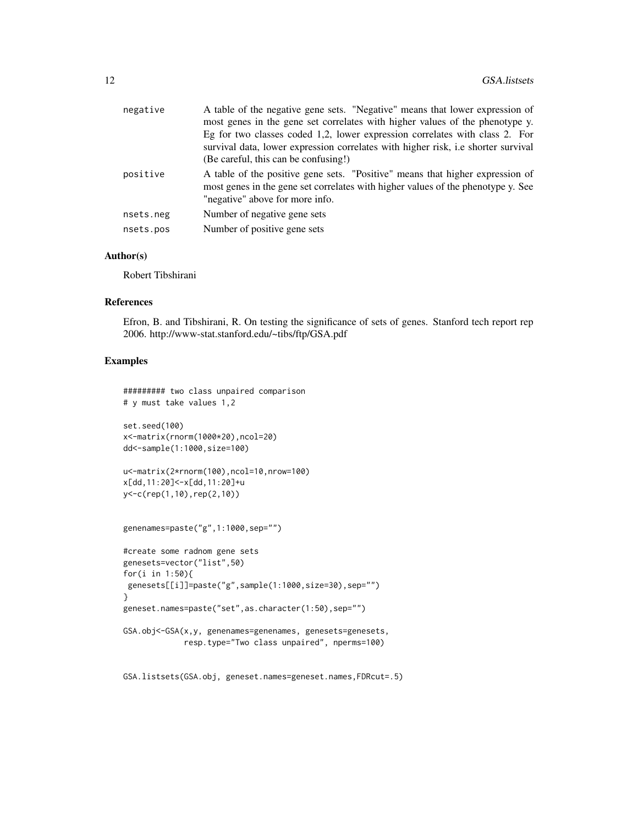| negative  | A table of the negative gene sets. "Negative" means that lower expression of<br>most genes in the gene set correlates with higher values of the phenotype y.<br>Eg for two classes coded 1,2, lower expression correlates with class 2. For<br>survival data, lower expression correlates with higher risk, i.e shorter survival<br>(Be careful, this can be confusing!) |
|-----------|--------------------------------------------------------------------------------------------------------------------------------------------------------------------------------------------------------------------------------------------------------------------------------------------------------------------------------------------------------------------------|
| positive  | A table of the positive gene sets. "Positive" means that higher expression of<br>most genes in the gene set correlates with higher values of the phenotype y. See<br>"negative" above for more info.                                                                                                                                                                     |
| nsets.neg | Number of negative gene sets                                                                                                                                                                                                                                                                                                                                             |
| nsets.pos | Number of positive gene sets                                                                                                                                                                                                                                                                                                                                             |
|           |                                                                                                                                                                                                                                                                                                                                                                          |

#### Author(s)

Robert Tibshirani

#### References

Efron, B. and Tibshirani, R. On testing the significance of sets of genes. Stanford tech report rep 2006. http://www-stat.stanford.edu/~tibs/ftp/GSA.pdf

# Examples

```
######### two class unpaired comparison
# y must take values 1,2
set.seed(100)
x<-matrix(rnorm(1000*20),ncol=20)
dd<-sample(1:1000,size=100)
u<-matrix(2*rnorm(100),ncol=10,nrow=100)
x[dd,11:20]<-x[dd,11:20]+u
y<-c(rep(1,10),rep(2,10))
genenames=paste("g",1:1000,sep="")
#create some radnom gene sets
genesets=vector("list",50)
for(i in 1:50){
genesets[[i]]=paste("g",sample(1:1000,size=30),sep="")
}
geneset.names=paste("set",as.character(1:50),sep="")
GSA.obj<-GSA(x,y, genenames=genenames, genesets=genesets,
             resp.type="Two class unpaired", nperms=100)
```
GSA.listsets(GSA.obj, geneset.names=geneset.names,FDRcut=.5)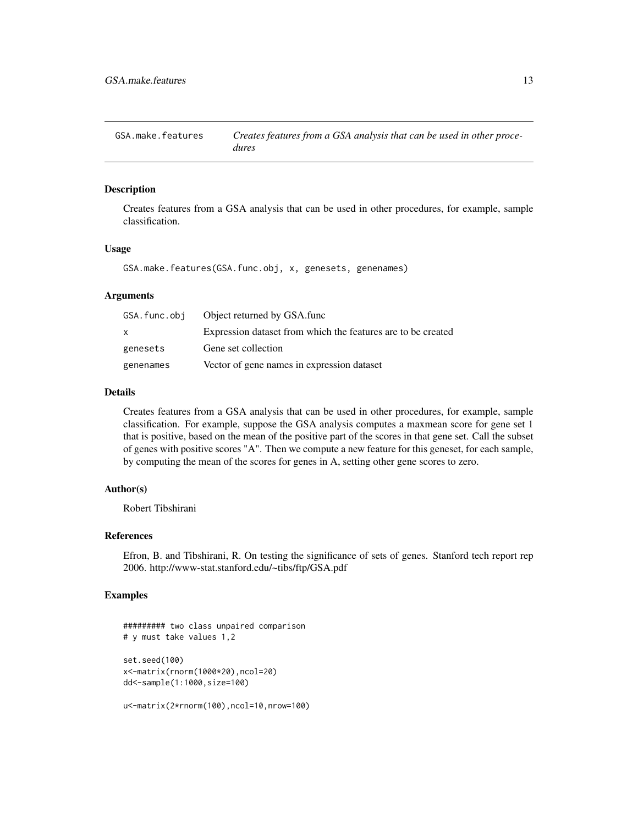<span id="page-12-0"></span>GSA.make.features *Creates features from a GSA analysis that can be used in other procedures*

# Description

Creates features from a GSA analysis that can be used in other procedures, for example, sample classification.

#### Usage

GSA.make.features(GSA.func.obj, x, genesets, genenames)

#### Arguments

| GSA.func.obi | Object returned by GSA.func                                  |
|--------------|--------------------------------------------------------------|
| X            | Expression dataset from which the features are to be created |
| genesets     | Gene set collection                                          |
| genenames    | Vector of gene names in expression dataset                   |

# Details

Creates features from a GSA analysis that can be used in other procedures, for example, sample classification. For example, suppose the GSA analysis computes a maxmean score for gene set 1 that is positive, based on the mean of the positive part of the scores in that gene set. Call the subset of genes with positive scores "A". Then we compute a new feature for this geneset, for each sample, by computing the mean of the scores for genes in A, setting other gene scores to zero.

#### Author(s)

Robert Tibshirani

# References

Efron, B. and Tibshirani, R. On testing the significance of sets of genes. Stanford tech report rep 2006. http://www-stat.stanford.edu/~tibs/ftp/GSA.pdf

# Examples

```
######### two class unpaired comparison
# y must take values 1,2
set.seed(100)
x<-matrix(rnorm(1000*20),ncol=20)
dd<-sample(1:1000,size=100)
u<-matrix(2*rnorm(100),ncol=10,nrow=100)
```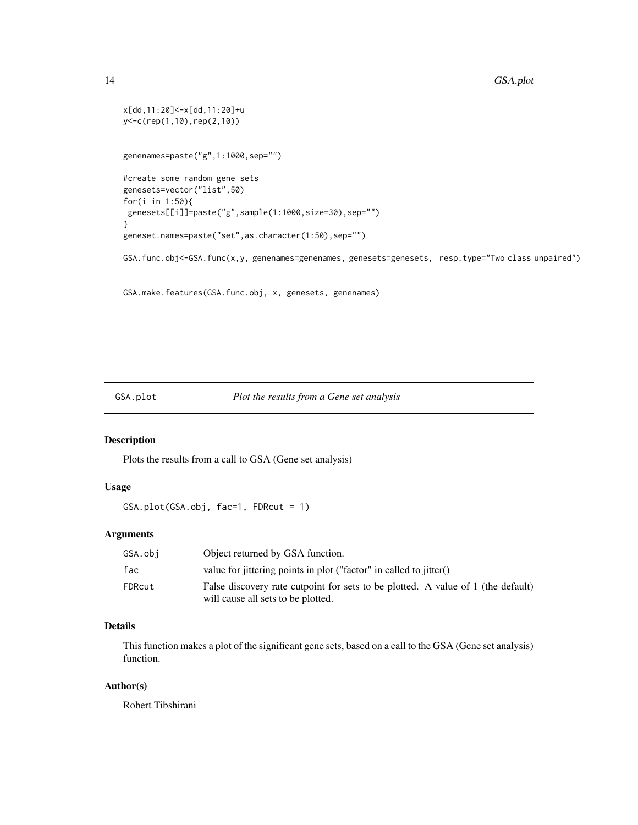```
x[dd,11:20]<-x[dd,11:20]+u
y<-c(rep(1,10),rep(2,10))
genenames=paste("g",1:1000,sep="")
#create some random gene sets
genesets=vector("list",50)
for(i in 1:50){
 genesets[[i]]=paste("g",sample(1:1000,size=30),sep="")
}
geneset.names=paste("set",as.character(1:50),sep="")
GSA.func.obj<-GSA.func(x,y, genenames=genenames, genesets=genesets, resp.type="Two class unpaired")
```
GSA.make.features(GSA.func.obj, x, genesets, genenames)

# GSA.plot *Plot the results from a Gene set analysis*

# Description

Plots the results from a call to GSA (Gene set analysis)

# Usage

GSA.plot(GSA.obj, fac=1, FDRcut = 1)

# Arguments

| GSA.obi | Object returned by GSA function.                                                                                       |
|---------|------------------------------------------------------------------------------------------------------------------------|
| fac     | value for jittering points in plot ("factor" in called to jitter()                                                     |
| FDRcut  | False discovery rate cutpoint for sets to be plotted. A value of 1 (the default)<br>will cause all sets to be plotted. |

# Details

This function makes a plot of the significant gene sets, based on a call to the GSA (Gene set analysis) function.

# Author(s)

Robert Tibshirani

<span id="page-13-0"></span>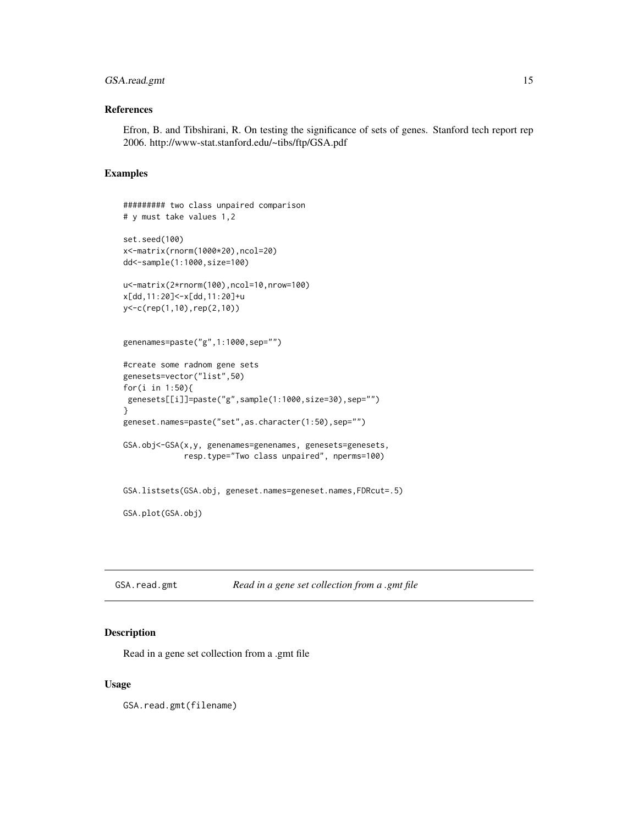# <span id="page-14-0"></span>GSA.read.gmt 15

# References

Efron, B. and Tibshirani, R. On testing the significance of sets of genes. Stanford tech report rep 2006. http://www-stat.stanford.edu/~tibs/ftp/GSA.pdf

#### Examples

```
######### two class unpaired comparison
# y must take values 1,2
set.seed(100)
x<-matrix(rnorm(1000*20),ncol=20)
dd<-sample(1:1000,size=100)
u<-matrix(2*rnorm(100),ncol=10,nrow=100)
x[dd,11:20]<-x[dd,11:20]+u
y<-c(rep(1,10),rep(2,10))
genenames=paste("g",1:1000,sep="")
#create some radnom gene sets
genesets=vector("list",50)
for(i in 1:50){
 genesets[[i]]=paste("g",sample(1:1000,size=30),sep="")
}
geneset.names=paste("set",as.character(1:50),sep="")
GSA.obj<-GSA(x,y, genenames=genenames, genesets=genesets,
             resp.type="Two class unpaired", nperms=100)
GSA.listsets(GSA.obj, geneset.names=geneset.names,FDRcut=.5)
GSA.plot(GSA.obj)
```
GSA.read.gmt *Read in a gene set collection from a .gmt file*

#### Description

Read in a gene set collection from a .gmt file

#### Usage

GSA.read.gmt(filename)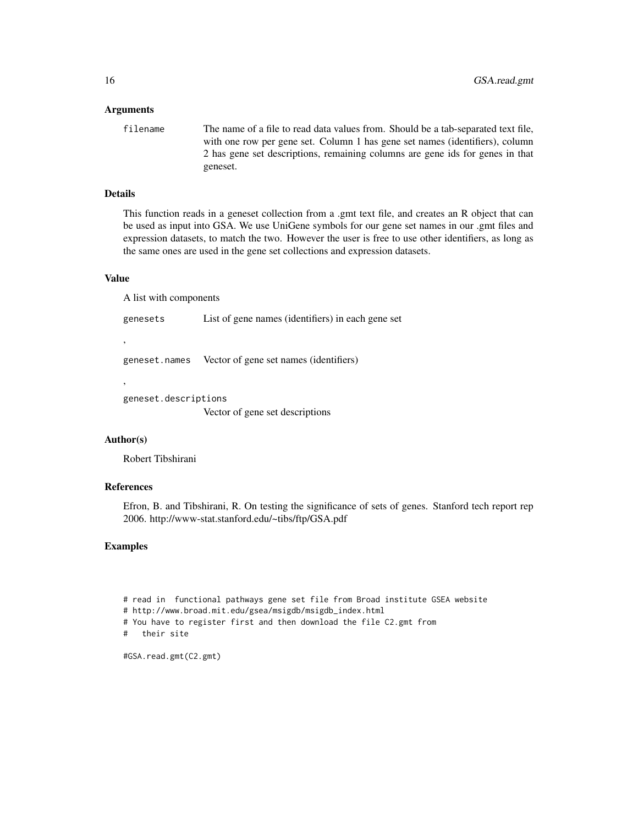#### Arguments

filename The name of a file to read data values from. Should be a tab-separated text file, with one row per gene set. Column 1 has gene set names (identifiers), column 2 has gene set descriptions, remaining columns are gene ids for genes in that geneset.

# Details

This function reads in a geneset collection from a .gmt text file, and creates an R object that can be used as input into GSA. We use UniGene symbols for our gene set names in our .gmt files and expression datasets, to match the two. However the user is free to use other identifiers, as long as the same ones are used in the gene set collections and expression datasets.

#### Value

,

,

A list with components

genesets List of gene names (identifiers) in each gene set

geneset.names Vector of gene set names (identifiers)

geneset.descriptions

Vector of gene set descriptions

#### Author(s)

Robert Tibshirani

# References

Efron, B. and Tibshirani, R. On testing the significance of sets of genes. Stanford tech report rep 2006. http://www-stat.stanford.edu/~tibs/ftp/GSA.pdf

#### Examples

# read in functional pathways gene set file from Broad institute GSEA website # http://www.broad.mit.edu/gsea/msigdb/msigdb\_index.html # You have to register first and then download the file C2.gmt from # their site

#GSA.read.gmt(C2.gmt)